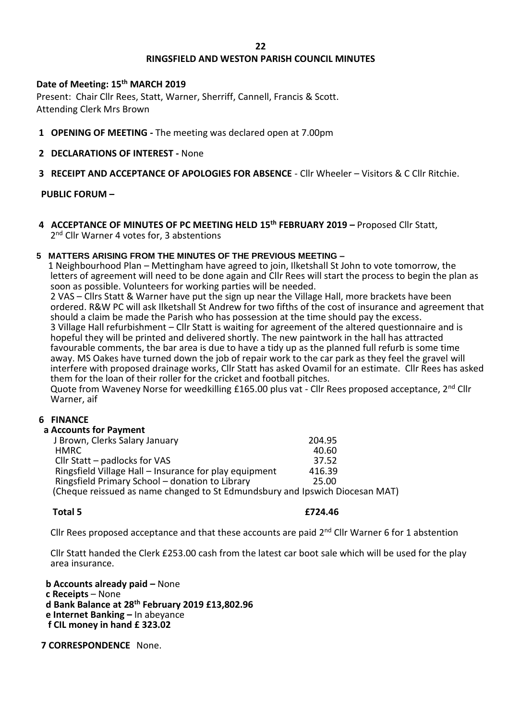### **22**

# **RINGSFIELD AND WESTON PARISH COUNCIL MINUTES**

## **Date of Meeting: 15th MARCH 2019**

Present: Chair Cllr Rees, Statt, Warner, Sherriff, Cannell, Francis & Scott. Attending Clerk Mrs Brown

- **1 OPENING OF MEETING -** The meeting was declared open at 7.00pm
- **2 DECLARATIONS OF INTEREST -** None
- **3 RECEIPT AND ACCEPTANCE OF APOLOGIES FOR ABSENCE** Cllr Wheeler Visitors & C Cllr Ritchie.

# **PUBLIC FORUM –**

**4 ACCEPTANCE OF MINUTES OF PC MEETING HELD 15th FEBRUARY 2019 –** Proposed Cllr Statt, 2<sup>nd</sup> Cllr Warner 4 votes for, 3 abstentions

## **5 MATTERS ARISING FROM THE MINUTES OF THE PREVIOUS MEETING –**

 1 Neighbourhood Plan – Mettingham have agreed to join, Ilketshall St John to vote tomorrow, the letters of agreement will need to be done again and Cllr Rees will start the process to begin the plan as soon as possible. Volunteers for working parties will be needed.

 2 VAS – Cllrs Statt & Warner have put the sign up near the Village Hall, more brackets have been ordered. R&W PC will ask Ilketshall St Andrew for two fifths of the cost of insurance and agreement that should a claim be made the Parish who has possession at the time should pay the excess. 3 Village Hall refurbishment – Cllr Statt is waiting for agreement of the altered questionnaire and is hopeful they will be printed and delivered shortly. The new paintwork in the hall has attracted favourable comments, the bar area is due to have a tidy up as the planned full refurb is some time away. MS Oakes have turned down the job of repair work to the car park as they feel the gravel will interfere with proposed drainage works, Cllr Statt has asked Ovamil for an estimate. Cllr Rees has asked them for the loan of their roller for the cricket and football pitches.

Quote from Waveney Norse for weedkilling £165.00 plus vat - Cllr Rees proposed acceptance, 2<sup>nd</sup> Cllr Warner, aif

### **6 FINANCE**

### **a Accounts for Payment**

| J Brown, Clerks Salary January                                               | 204.95 |
|------------------------------------------------------------------------------|--------|
| HMRC.                                                                        | 40.60  |
| Cllr Statt – padlocks for VAS                                                | 37.52  |
| Ringsfield Village Hall - Insurance for play equipment                       | 416.39 |
| Ringsfield Primary School - donation to Library                              | 25.00  |
| (Cheque reissued as name changed to St Edmundsbury and Ipswich Diocesan MAT) |        |
|                                                                              |        |

## **Total 5 £724.46**

Cllr Rees proposed acceptance and that these accounts are paid 2<sup>nd</sup> Cllr Warner 6 for 1 abstention

 Cllr Statt handed the Clerk £253.00 cash from the latest car boot sale which will be used for the play area insurance.

 **b Accounts already paid –** None  **c Receipts** – None  **d Bank Balance at 28th February 2019 £13,802.96 e Internet Banking –** In abeyance **f CIL money in hand £ 323.02**

 **7 CORRESPONDENCE** None.